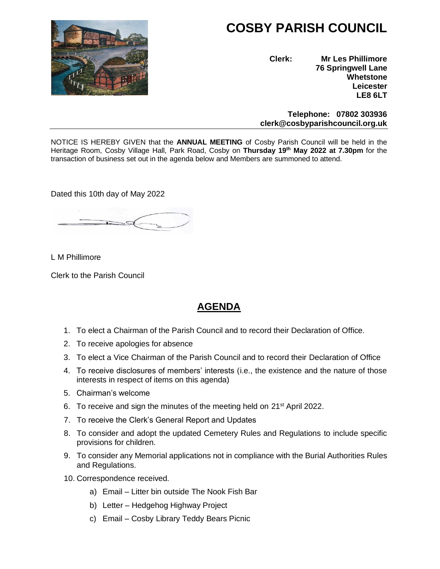

# **COSBY PARISH COUNCIL**

**Clerk: Mr Les Phillimore 76 Springwell Lane Whetstone Leicester LE8 6LT**

 **Telephone: 07802 303936 clerk@cosbyparishcouncil.org.uk**

NOTICE IS HEREBY GIVEN that the **ANNUAL MEETING** of Cosby Parish Council will be held in the Heritage Room, Cosby Village Hall, Park Road, Cosby on **Thursday 19th May 2022 at 7.30pm** for the transaction of business set out in the agenda below and Members are summoned to attend.

Dated this 10th day of May 2022

L M Phillimore

Clerk to the Parish Council

# **AGENDA**

- 1. To elect a Chairman of the Parish Council and to record their Declaration of Office.
- 2. To receive apologies for absence
- 3. To elect a Vice Chairman of the Parish Council and to record their Declaration of Office
- 4. To receive disclosures of members' interests (i.e., the existence and the nature of those interests in respect of items on this agenda)
- 5. Chairman's welcome
- 6. To receive and sign the minutes of the meeting held on 21<sup>st</sup> April 2022.
- 7. To receive the Clerk's General Report and Updates
- 8. To consider and adopt the updated Cemetery Rules and Regulations to include specific provisions for children.
- 9. To consider any Memorial applications not in compliance with the Burial Authorities Rules and Regulations.
- 10. Correspondence received.
	- a) Email Litter bin outside The Nook Fish Bar
	- b) Letter Hedgehog Highway Project
	- c) Email Cosby Library Teddy Bears Picnic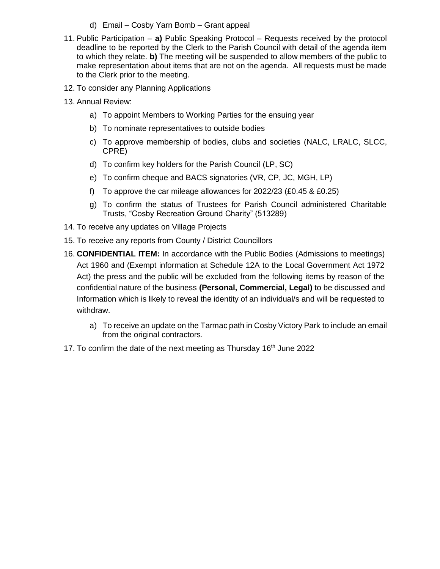- d) Email Cosby Yarn Bomb Grant appeal
- 11. Public Participation **a)** Public Speaking Protocol Requests received by the protocol deadline to be reported by the Clerk to the Parish Council with detail of the agenda item to which they relate. **b)** The meeting will be suspended to allow members of the public to make representation about items that are not on the agenda. All requests must be made to the Clerk prior to the meeting.
- 12. To consider any Planning Applications
- 13. Annual Review:
	- a) To appoint Members to Working Parties for the ensuing year
	- b) To nominate representatives to outside bodies
	- c) To approve membership of bodies, clubs and societies (NALC, LRALC, SLCC, CPRE)
	- d) To confirm key holders for the Parish Council (LP, SC)
	- e) To confirm cheque and BACS signatories (VR, CP, JC, MGH, LP)
	- f) To approve the car mileage allowances for  $2022/23$  (£0.45 & £0.25)
	- g) To confirm the status of Trustees for Parish Council administered Charitable Trusts, "Cosby Recreation Ground Charity" (513289)
- 14. To receive any updates on Village Projects
- 15. To receive any reports from County / District Councillors
- 16. **CONFIDENTIAL ITEM:** In accordance with the Public Bodies (Admissions to meetings) Act 1960 and (Exempt information at Schedule 12A to the Local Government Act 1972 Act) the press and the public will be excluded from the following items by reason of the confidential nature of the business **(Personal, Commercial, Legal)** to be discussed and Information which is likely to reveal the identity of an individual/s and will be requested to withdraw.
	- a) To receive an update on the Tarmac path in Cosby Victory Park to include an email from the original contractors.
- 17. To confirm the date of the next meeting as Thursday 16<sup>th</sup> June 2022